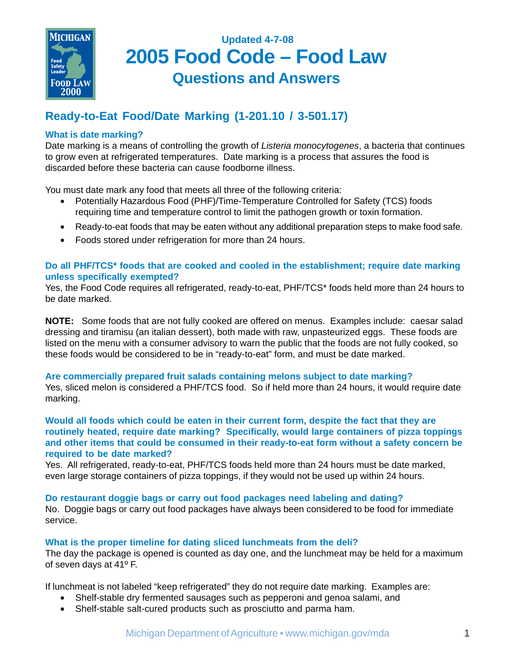

# **Updated 4-7-08 2005 Food Code – Food Law Questions and Answers**

## **Ready-to-Eat Food/Date Marking (1-201.10 / 3-501.17)**

## **What is date marking?**

Date marking is a means of controlling the growth of *Listeria monocytogenes*, a bacteria that continues to grow even at refrigerated temperatures. Date marking is a process that assures the food is discarded before these bacteria can cause foodborne illness.

You must date mark any food that meets all three of the following criteria:

- Potentially Hazardous Food (PHF)/Time-Temperature Controlled for Safety (TCS) foods requiring time and temperature control to limit the pathogen growth or toxin formation.
- Ready-to-eat foods that may be eaten without any additional preparation steps to make food safe.
- Foods stored under refrigeration for more than 24 hours.

## **Do all PHF/TCS\* foods that are cooked and cooled in the establishment; require date marking unless specifically exempted?**

Yes, the Food Code requires all refrigerated, ready-to-eat, PHF/TCS\* foods held more than 24 hours to be date marked.

**NOTE:** Some foods that are not fully cooked are offered on menus. Examples include: caesar salad dressing and tiramisu (an italian dessert), both made with raw, unpasteurized eggs. These foods are listed on the menu with a consumer advisory to warn the public that the foods are not fully cooked, so these foods would be considered to be in "ready-to-eat" form, and must be date marked.

## **Are commercially prepared fruit salads containing melons subject to date marking?**

Yes, sliced melon is considered a PHF/TCS food. So if held more than 24 hours, it would require date marking.

**Would all foods which could be eaten in their current form, despite the fact that they are routinely heated, require date marking? Specifically, would large containers of pizza toppings and other items that could be consumed in their ready-to-eat form without a safety concern be required to be date marked?**

Yes. All refrigerated, ready-to-eat, PHF/TCS foods held more than 24 hours must be date marked, even large storage containers of pizza toppings, if they would not be used up within 24 hours.

## **Do restaurant doggie bags or carry out food packages need labeling and dating?**

No. Doggie bags or carry out food packages have always been considered to be food for immediate service.

## **What is the proper timeline for dating sliced lunchmeats from the deli?**

The day the package is opened is counted as day one, and the lunchmeat may be held for a maximum of seven days at 41º F.

If lunchmeat is not labeled "keep refrigerated" they do not require date marking. Examples are:

- Shelf-stable dry fermented sausages such as pepperoni and genoa salami, and
- Shelf-stable salt-cured products such as prosciutto and parma ham.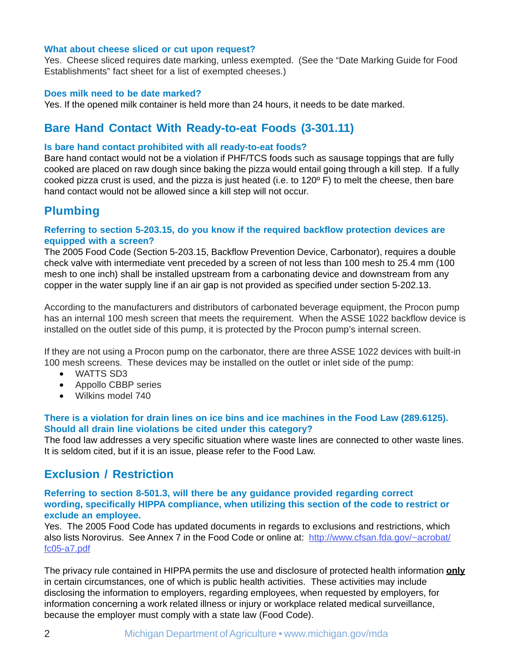#### **What about cheese sliced or cut upon request?**

Yes. Cheese sliced requires date marking, unless exempted. (See the "Date Marking Guide for Food Establishments" fact sheet for a list of exempted cheeses.)

### **Does milk need to be date marked?**

Yes. If the opened milk container is held more than 24 hours, it needs to be date marked.

## **Bare Hand Contact With Ready-to-eat Foods (3-301.11)**

### **Is bare hand contact prohibited with all ready-to-eat foods?**

Bare hand contact would not be a violation if PHF/TCS foods such as sausage toppings that are fully cooked are placed on raw dough since baking the pizza would entail going through a kill step. If a fully cooked pizza crust is used, and the pizza is just heated (i.e. to 120º F) to melt the cheese, then bare hand contact would not be allowed since a kill step will not occur.

## **Plumbing**

## **Referring to section 5-203.15, do you know if the required backflow protection devices are equipped with a screen?**

The 2005 Food Code (Section 5-203.15, Backflow Prevention Device, Carbonator), requires a double check valve with intermediate vent preceded by a screen of not less than 100 mesh to 25.4 mm (100 mesh to one inch) shall be installed upstream from a carbonating device and downstream from any copper in the water supply line if an air gap is not provided as specified under section 5-202.13.

According to the manufacturers and distributors of carbonated beverage equipment, the Procon pump has an internal 100 mesh screen that meets the requirement. When the ASSE 1022 backflow device is installed on the outlet side of this pump, it is protected by the Procon pump's internal screen.

If they are not using a Procon pump on the carbonator, there are three ASSE 1022 devices with built-in 100 mesh screens. These devices may be installed on the outlet or inlet side of the pump:

- WATTS SD3
- Appollo CBBP series
- Wilkins model 740

## **There is a violation for drain lines on ice bins and ice machines in the Food Law (289.6125). Should all drain line violations be cited under this category?**

The food law addresses a very specific situation where waste lines are connected to other waste lines. It is seldom cited, but if it is an issue, please refer to the Food Law.

## **Exclusion / Restriction**

### **Referring to section 8-501.3, will there be any guidance provided regarding correct wording, specifically HIPPA compliance, when utilizing this section of the code to restrict or exclude an employee.**

Yes. The 2005 Food Code has updated documents in regards to exclusions and restrictions, which also lists Norovirus. See Annex 7 in the Food Code or online at: http://www.cfsan.fda.gov/~acrobat/ fc05-a7.pdf

The privacy rule contained in HIPPA permits the use and disclosure of protected health information **only** in certain circumstances, one of which is public health activities. These activities may include disclosing the information to employers, regarding employees, when requested by employers, for information concerning a work related illness or injury or workplace related medical surveillance, because the employer must comply with a state law (Food Code).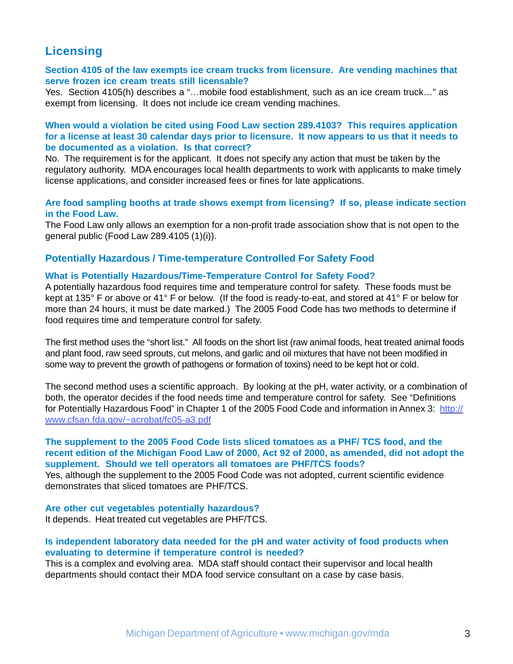## **Licensing**

### **Section 4105 of the law exempts ice cream trucks from licensure. Are vending machines that serve frozen ice cream treats still licensable?**

Yes. Section 4105(h) describes a "…mobile food establishment, such as an ice cream truck…" as exempt from licensing. It does not include ice cream vending machines.

## **When would a violation be cited using Food Law section 289.4103? This requires application for a license at least 30 calendar days prior to licensure. It now appears to us that it needs to be documented as a violation. Is that correct?**

No. The requirement is for the applicant. It does not specify any action that must be taken by the regulatory authority. MDA encourages local health departments to work with applicants to make timely license applications, and consider increased fees or fines for late applications.

### **Are food sampling booths at trade shows exempt from licensing? If so, please indicate section in the Food Law.**

The Food Law only allows an exemption for a non-profit trade association show that is not open to the general public (Food Law 289.4105 (1)(i)).

## **Potentially Hazardous / Time-temperature Controlled For Safety Food**

### **What is Potentially Hazardous/Time-Temperature Control for Safety Food?**

A potentially hazardous food requires time and temperature control for safety. These foods must be kept at 135° F or above or 41° F or below. (If the food is ready-to-eat, and stored at 41° F or below for more than 24 hours, it must be date marked.) The 2005 Food Code has two methods to determine if food requires time and temperature control for safety.

The first method uses the "short list."All foods on the short list (raw animal foods, heat treated animal foods and plant food, raw seed sprouts, cut melons, and garlic and oil mixtures that have not been modified in some way to prevent the growth of pathogens or formation of toxins) need to be kept hot or cold.

The second method uses a scientific approach. By looking at the pH, water activity, or a combination of both, the operator decides if the food needs time and temperature control for safety. See "Definitions for Potentially Hazardous Food" in Chapter 1 of the 2005 Food Code and information in Annex 3: http:// www.cfsan.fda.gov/~acrobat/fc05-a3.pdf

#### **The supplement to the 2005 Food Code lists sliced tomatoes as a PHF/ TCS food, and the recent edition of the Michigan Food Law of 2000, Act 92 of 2000, as amended, did not adopt the supplement. Should we tell operators all tomatoes are PHF/TCS foods?**

Yes, although the supplement to the 2005 Food Code was not adopted, current scientific evidence demonstrates that sliced tomatoes are PHF/TCS.

**Are other cut vegetables potentially hazardous?** It depends. Heat treated cut vegetables are PHF/TCS.

### **Is independent laboratory data needed for the pH and water activity of food products when evaluating to determine if temperature control is needed?**

This is a complex and evolving area. MDA staff should contact their supervisor and local health departments should contact their MDA food service consultant on a case by case basis.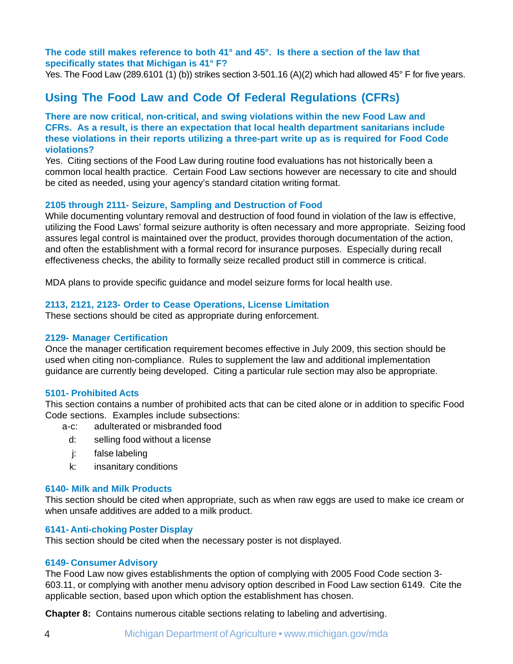## **The code still makes reference to both 41° and 45°. Is there a section of the law that specifically states that Michigan is 41° F?**

Yes. The Food Law (289.6101 (1) (b)) strikes section 3-501.16 (A)(2) which had allowed 45° F for five years.

## **Using The Food Law and Code Of Federal Regulations (CFRs)**

## **There are now critical, non-critical, and swing violations within the new Food Law and CFRs. As a result, is there an expectation that local health department sanitarians include these violations in their reports utilizing a three-part write up as is required for Food Code violations?**

Yes. Citing sections of the Food Law during routine food evaluations has not historically been a common local health practice. Certain Food Law sections however are necessary to cite and should be cited as needed, using your agency's standard citation writing format.

## **2105 through 2111- Seizure, Sampling and Destruction of Food**

While documenting voluntary removal and destruction of food found in violation of the law is effective, utilizing the Food Laws' formal seizure authority is often necessary and more appropriate. Seizing food assures legal control is maintained over the product, provides thorough documentation of the action, and often the establishment with a formal record for insurance purposes. Especially during recall effectiveness checks, the ability to formally seize recalled product still in commerce is critical.

MDA plans to provide specific guidance and model seizure forms for local health use.

## **2113, 2121, 2123- Order to Cease Operations, License Limitation**

These sections should be cited as appropriate during enforcement.

## **2129- Manager Certification**

Once the manager certification requirement becomes effective in July 2009, this section should be used when citing non-compliance. Rules to supplement the law and additional implementation guidance are currently being developed. Citing a particular rule section may also be appropriate.

## **5101- Prohibited Acts**

This section contains a number of prohibited acts that can be cited alone or in addition to specific Food Code sections. Examples include subsections:

- a-c: adulterated or misbranded food
	- d: selling food without a license
	- j: false labeling
	- k: insanitary conditions

#### **6140- Milk and Milk Products**

This section should be cited when appropriate, such as when raw eggs are used to make ice cream or when unsafe additives are added to a milk product.

## **6141- Anti-choking Poster Display**

This section should be cited when the necessary poster is not displayed.

#### **6149- Consumer Advisory**

The Food Law now gives establishments the option of complying with 2005 Food Code section 3- 603.11, or complying with another menu advisory option described in Food Law section 6149. Cite the applicable section, based upon which option the establishment has chosen.

**Chapter 8:** Contains numerous citable sections relating to labeling and advertising.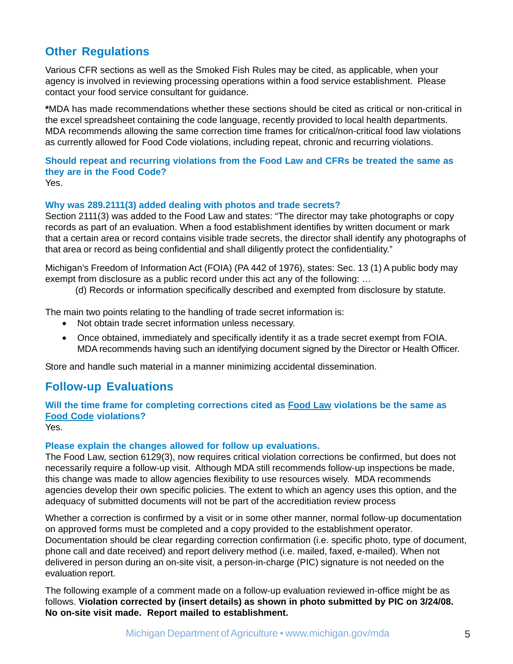## **Other Regulations**

Various CFR sections as well as the Smoked Fish Rules may be cited, as applicable, when your agency is involved in reviewing processing operations within a food service establishment. Please contact your food service consultant for guidance.

**\***MDA has made recommendations whether these sections should be cited as critical or non-critical in the excel spreadsheet containing the code language, recently provided to local health departments. MDA recommends allowing the same correction time frames for critical/non-critical food law violations as currently allowed for Food Code violations, including repeat, chronic and recurring violations.

#### **Should repeat and recurring violations from the Food Law and CFRs be treated the same as they are in the Food Code?** Yes.

## **Why was 289.2111(3) added dealing with photos and trade secrets?**

Section 2111(3) was added to the Food Law and states: "The director may take photographs or copy records as part of an evaluation. When a food establishment identifies by written document or mark that a certain area or record contains visible trade secrets, the director shall identify any photographs of that area or record as being confidential and shall diligently protect the confidentiality."

Michigan's Freedom of Information Act (FOIA) (PA 442 of 1976), states: Sec. 13 (1) A public body may exempt from disclosure as a public record under this act any of the following: …

(d) Records or information specifically described and exempted from disclosure by statute.

The main two points relating to the handling of trade secret information is:

- Not obtain trade secret information unless necessary.
- Once obtained, immediately and specifically identify it as a trade secret exempt from FOIA. MDA recommends having such an identifying document signed by the Director or Health Officer.

Store and handle such material in a manner minimizing accidental dissemination.

## **Follow-up Evaluations**

## **Will the time frame for completing corrections cited as Food Law violations be the same as Food Code violations?**

Yes.

## **Please explain the changes allowed for follow up evaluations.**

The Food Law, section 6129(3), now requires critical violation corrections be confirmed, but does not necessarily require a follow-up visit. Although MDA still recommends follow-up inspections be made, this change was made to allow agencies flexibility to use resources wisely. MDA recommends agencies develop their own specific policies. The extent to which an agency uses this option, and the adequacy of submitted documents will not be part of the accreditiation review process

Whether a correction is confirmed by a visit or in some other manner, normal follow-up documentation on approved forms must be completed and a copy provided to the establishment operator. Documentation should be clear regarding correction confirmation (i.e. specific photo, type of document, phone call and date received) and report delivery method (i.e. mailed, faxed, e-mailed). When not delivered in person during an on-site visit, a person-in-charge (PIC) signature is not needed on the evaluation report.

The following example of a comment made on a follow-up evaluation reviewed in-office might be as follows. **Violation corrected by (insert details) as shown in photo submitted by PIC on 3/24/08. No on-site visit made. Report mailed to establishment.**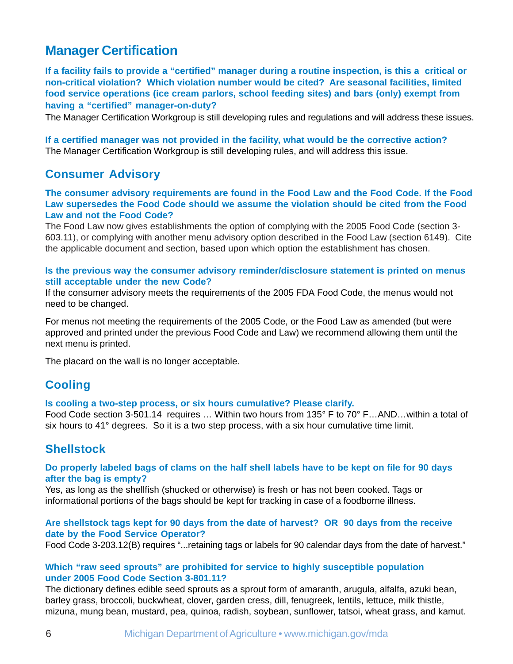## **Manager Certification**

**If a facility fails to provide a "certified" manager during a routine inspection, is this a critical or non-critical violation? Which violation number would be cited? Are seasonal facilities, limited food service operations (ice cream parlors, school feeding sites) and bars (only) exempt from having a "certified" manager-on-duty?**

The Manager Certification Workgroup is still developing rules and regulations and will address these issues.

**If a certified manager was not provided in the facility, what would be the corrective action?** The Manager Certification Workgroup is still developing rules, and will address this issue.

## **Consumer Advisory**

**The consumer advisory requirements are found in the Food Law and the Food Code. If the Food Law supersedes the Food Code should we assume the violation should be cited from the Food Law and not the Food Code?**

The Food Law now gives establishments the option of complying with the 2005 Food Code (section 3- 603.11), or complying with another menu advisory option described in the Food Law (section 6149). Cite the applicable document and section, based upon which option the establishment has chosen.

## **Is the previous way the consumer advisory reminder/disclosure statement is printed on menus still acceptable under the new Code?**

If the consumer advisory meets the requirements of the 2005 FDA Food Code, the menus would not need to be changed.

For menus not meeting the requirements of the 2005 Code, or the Food Law as amended (but were approved and printed under the previous Food Code and Law) we recommend allowing them until the next menu is printed.

The placard on the wall is no longer acceptable.

## **Cooling**

## **Is cooling a two-step process, or six hours cumulative? Please clarify.**

Food Code section 3-501.14 requires … Within two hours from 135° F to 70° F…AND…within a total of six hours to 41° degrees. So it is a two step process, with a six hour cumulative time limit.

## **Shellstock**

## **Do properly labeled bags of clams on the half shell labels have to be kept on file for 90 days after the bag is empty?**

Yes, as long as the shellfish (shucked or otherwise) is fresh or has not been cooked. Tags or informational portions of the bags should be kept for tracking in case of a foodborne illness.

## **Are shellstock tags kept for 90 days from the date of harvest? OR 90 days from the receive date by the Food Service Operator?**

Food Code 3-203.12(B) requires "...retaining tags or labels for 90 calendar days from the date of harvest."

## **Which "raw seed sprouts" are prohibited for service to highly susceptible population under 2005 Food Code Section 3-801.11?**

The dictionary defines edible seed sprouts as a sprout form of amaranth, arugula, alfalfa, azuki bean, barley grass, broccoli, buckwheat, clover, garden cress, dill, fenugreek, lentils, lettuce, milk thistle, mizuna, mung bean, mustard, pea, quinoa, radish, soybean, sunflower, tatsoi, wheat grass, and kamut.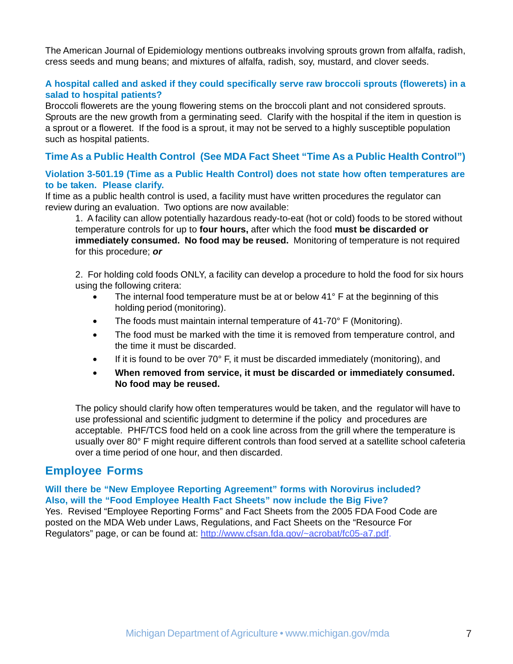The American Journal of Epidemiology mentions outbreaks involving sprouts grown from alfalfa, radish, cress seeds and mung beans; and mixtures of alfalfa, radish, soy, mustard, and clover seeds.

## **A hospital called and asked if they could specifically serve raw broccoli sprouts (flowerets) in a salad to hospital patients?**

Broccoli flowerets are the young flowering stems on the broccoli plant and not considered sprouts. Sprouts are the new growth from a germinating seed. Clarify with the hospital if the item in question is a sprout or a floweret. If the food is a sprout, it may not be served to a highly susceptible population such as hospital patients.

## **Time As a Public Health Control (See MDA Fact Sheet "Time As a Public Health Control")**

## **Violation 3-501.19 (Time as a Public Health Control) does not state how often temperatures are to be taken. Please clarify.**

If time as a public health control is used, a facility must have written procedures the regulator can review during an evaluation. Two options are now available:

1. A facility can allow potentially hazardous ready-to-eat (hot or cold) foods to be stored without temperature controls for up to **four hours,** after which the food **must be discarded or immediately consumed. No food may be reused.** Monitoring of temperature is not required for this procedure; *or*

2. For holding cold foods ONLY, a facility can develop a procedure to hold the food for six hours using the following critera:

- The internal food temperature must be at or below 41° F at the beginning of this holding period (monitoring).
- The foods must maintain internal temperature of 41-70° F (Monitoring).
- The food must be marked with the time it is removed from temperature control, and the time it must be discarded.
- If it is found to be over  $70^{\circ}$  F, it must be discarded immediately (monitoring), and
- **When removed from service, it must be discarded or immediately consumed. No food may be reused.**

The policy should clarify how often temperatures would be taken, and the regulator will have to use professional and scientific judgment to determine if the policy and procedures are acceptable. PHF/TCS food held on a cook line across from the grill where the temperature is usually over 80° F might require different controls than food served at a satellite school cafeteria over a time period of one hour, and then discarded.

## **Employee Forms**

#### **Will there be "New Employee Reporting Agreement" forms with Norovirus included? Also, will the "Food Employee Health Fact Sheets" now include the Big Five?**

Yes. Revised "Employee Reporting Forms" and Fact Sheets from the 2005 FDA Food Code are posted on the MDA Web under Laws, Regulations, and Fact Sheets on the "Resource For Regulators" page, or can be found at: http://www.cfsan.fda.gov/~acrobat/fc05-a7.pdf.